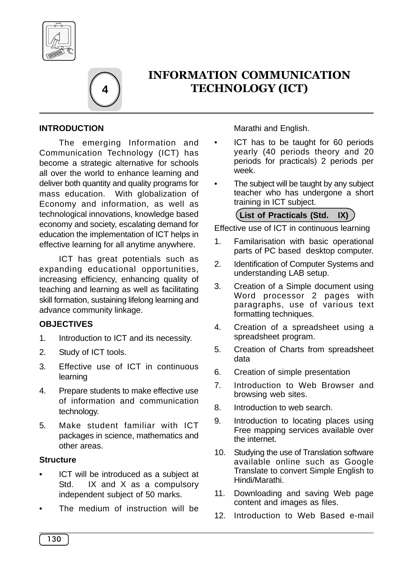



# INFORMATION COMMUNICATION TECHNOLOGY (ICT)

## **INTRODUCTION**

The emerging Information and Communication Technology (ICT) has become a strategic alternative for schools all over the world to enhance learning and deliver both quantity and quality programs for mass education. With globalization of Economy and information, as well as technological innovations, knowledge based economy and society, escalating demand for education the implementation of ICT helps in effective learning for all anytime anywhere.

ICT has great potentials such as expanding educational opportunities, increasing efficiency, enhancing quality of teaching and learning as well as facilitating skill formation, sustaining lifelong learning and advance community linkage.

### **OBJECTIVES**

- 1. Introduction to ICT and its necessity.
- 2. Study of ICT tools.
- 3. Effective use of ICT in continuous learning
- 4. Prepare students to make effective use of information and communication technology.
- 5. Make student familiar with ICT packages in science, mathematics and other areas.

#### **Structure**

- ICT will be introduced as a subject at Std. IX and X as a compulsory independent subject of 50 marks.
- The medium of instruction will be

Marathi and English.

- ICT has to be taught for 60 periods yearly (40 periods theory and 20 periods for practicals) 2 periods per week.
- The subject will be taught by any subject teacher who has undergone a short training in ICT subject.

**List of Practicals (Std. IX)**

Effective use of ICT in continuous learning

- 1. Familarisation with basic operational parts of PC based desktop computer.
- 2. Identification of Computer Systems and understanding LAB setup.
- 3. Creation of a Simple document using Word processor 2 pages with paragraphs, use of various text formatting techniques.
- 4. Creation of a spreadsheet using a spreadsheet program.
- 5. Creation of Charts from spreadsheet data
- 6. Creation of simple presentation
- 7. Introduction to Web Browser and browsing web sites.
- 8. Introduction to web search.
- 9. Introduction to locating places using Free mapping services available over the internet.
- 10. Studying the use of Translation software available online such as Google Translate to convert Simple English to Hindi/Marathi.
- 11. Downloading and saving Web page content and images as files.
- 12. Introduction to Web Based e-mail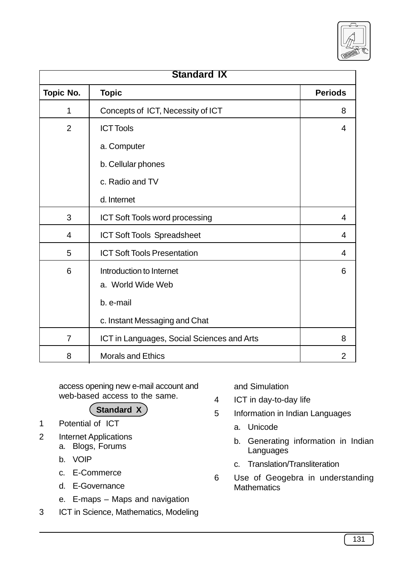| <b>Standard IX</b> |                                            |                |
|--------------------|--------------------------------------------|----------------|
| <b>Topic No.</b>   | <b>Topic</b>                               | <b>Periods</b> |
| 1                  | Concepts of ICT, Necessity of ICT          | 8              |
| $\overline{2}$     | <b>ICT Tools</b>                           | 4              |
|                    | a. Computer                                |                |
|                    | b. Cellular phones                         |                |
|                    | c. Radio and TV                            |                |
|                    | d. Internet                                |                |
| 3                  | ICT Soft Tools word processing             | $\overline{4}$ |
| $\overline{4}$     | <b>ICT Soft Tools Spreadsheet</b>          | 4              |
| 5                  | <b>ICT Soft Tools Presentation</b>         | 4              |
| 6                  | Introduction to Internet                   | 6              |
|                    | a. World Wide Web                          |                |
|                    | b. e-mail                                  |                |
|                    | c. Instant Messaging and Chat              |                |
| $\overline{7}$     | ICT in Languages, Social Sciences and Arts | 8              |
| 8                  | <b>Morals and Ethics</b>                   | $\overline{2}$ |

access opening new e-mail account and web-based access to the same.

# **Standard X**

- 1 Potential of ICT
- 2 Internet Applications
	- a. Blogs, Forums
	- b. VOIP
	- c. E-Commerce
	- d. E-Governance
	- e. E-maps Maps and navigation
- 3 ICT in Science, Mathematics, Modeling

and Simulation

- 4 ICT in day-to-day life
- 5 Information in Indian Languages
	- a. Unicode
	- b. Generating information in Indian Languages
	- c. Translation/Transliteration
- 6 Use of Geogebra in understanding **Mathematics**